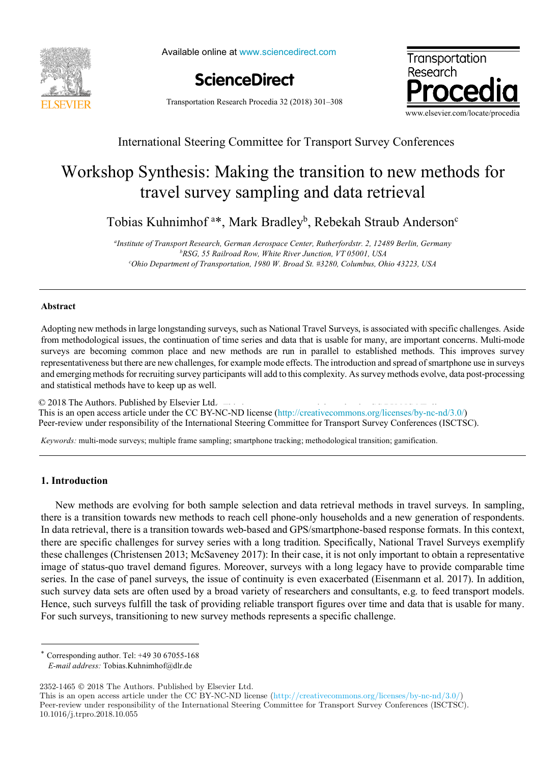

Available online at www.sciencedirect.com ime at www.sciencedir





Transportation Research Procedia 32 (2018) 301–308

# International Steering Committee for Transport Survey Conferences International Steering Committee for Transport Survey Conferences

# Workshop Synthesis: Making the transition to new methods for Workshop Synthesis: Making the transition to new methods for travel survey sampling and data retrieval

Tobias Kuhnimhof a \*, Mark Bradleyb , Rebekah Straub Andersonc Tobias Kuhnimhof <sup>a\*</sup>, Mark Bradley<sup>b</sup>, Rebekah Straub Anderson<sup>c</sup> *Institute of Transport Research, German Aerospace Center, Rutherfordstr. 2, 12489 Berlin, Germany*

*b RSG, 55 Railroad Row, White River Junction, VT 05001, USA a Institute of Transport Research, German Aerospace Center, Rutherfordstr. 2, 12489 Berlin, Germany* <sup>*b*</sup>RSG, 55 Railroad Row, White River Junction, VT 05001, USA *c Ohio Department of Transportation, 1980 W. Broad St. #3280, Columbus, Ohio 43223, USA*

# **Abstract**

Adopting new methods in large longstanding surveys, such as National Travel Surveys, is associated with specific challenges. Aside from methodological issues, the continuation of time series and data that is usable for many, are important concerns. Multi-mode surveys are becoming common place and new methods are run in parallel to established methods. This improves survey representativeness but there are new challenges, for example mode effects. The introduction and spread of smartphone use in surveys and emerging methods for recruiting survey participants will add to this complexity. As survey methods evolve, data post-processing and statistical methods have to keep up as well.

© 2018 The Authors. Published by Elsevier Ltd. This is an open access article under the CC BY-NC-ND license (http://creativecommons.org/licenses/by-nc-nd/3.0/) Peer-review under responsibility of the International Steering Committee for Transport Survey Conferences (ISCTSC). Peer-review under responsibility of the International Steering Committee for Transport Survey Conferences (ISCTSC)

*Keywords:* multi-mode surveys; multiple frame sampling; smartphone tracking; methodological transition; gamification. *Keywords:* multi-mode surveys; multiple frame sampling; smartphone tracking; methodological transition; gamification.

# **1. Introduction**

New methods are evolving for both sample selection and data retrieval methods in travel surveys. In sampling, there is a transition towards new methods to reach cell phone-only households and a new generation of respondents. In data retrieval, there is a transition towards web-based and GPS/smartphone-based response formats. In this context, there are specific challenges for survey series with a long tradition. Specifically, National Travel Surveys exemplify these challenges (Christensen 2013; McSaveney 2017): In their case, it is not only important to obtain a representative image of status-quo travel demand figures. Moreover, surveys with a long legacy have to provide comparable time series. In the case of panel surveys, the issue of continuity is even exacerbated (Eisenmann et al. 2017). In addition, such survey data sets are often used by a broad variety of researchers and consultants, e.g. to feed transport models. Hence, such surveys fulfill the task of providing reliable transport figures over time and data that is usable for many. For such surveys, transitioning to new survey methods represents a specific challenge. In data retrieval, there is a transition towards web-based and GPS/smartphone-based response formats. In this context, there are specific challenges for survey series with a long tradition. Specifically, National Travel Su

2352-1465 2018 The Authors. Published by Elsevier Ltd.

This is an open access article under the CC BY-NC-ND license (http://creativecommons.org/licenses/by-nc-nd/3.0/) Peer-review under responsibility of the International Steering Committee for Transport Survey Conferences (ISCTSC). 10.1016/j.trpro.2018.10.055

Corresponding author. Tel: +49 30 67055-168 E-mail address: Tobias.Kuhnimhof@dlr.de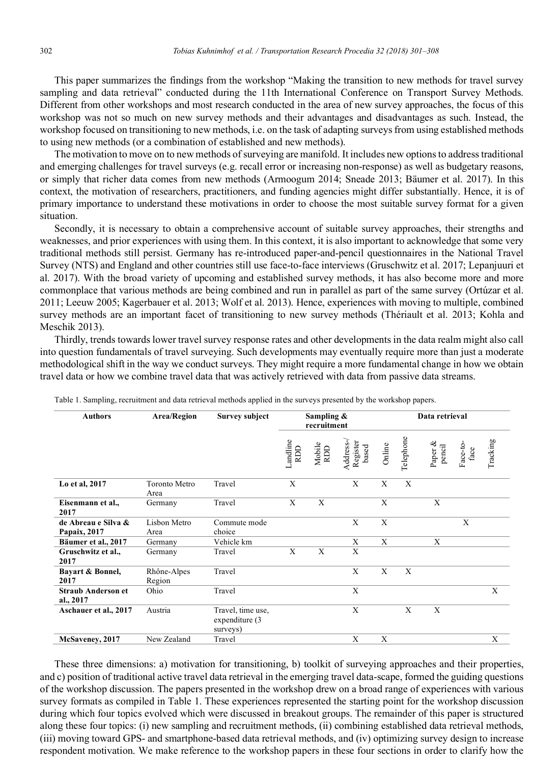This paper summarizes the findings from the workshop "Making the transition to new methods for travel survey sampling and data retrieval" conducted during the 11th International Conference on Transport Survey Methods. Different from other workshops and most research conducted in the area of new survey approaches, the focus of this workshop was not so much on new survey methods and their advantages and disadvantages as such. Instead, the workshop focused on transitioning to new methods, i.e. on the task of adapting surveys from using established methods to using new methods (or a combination of established and new methods).

The motivation to move on to new methods of surveying are manifold. It includes new options to address traditional and emerging challenges for travel surveys (e.g. recall error or increasing non-response) as well as budgetary reasons, or simply that richer data comes from new methods (Armoogum 2014; Sneade 2013; Bäumer et al. 2017). In this context, the motivation of researchers, practitioners, and funding agencies might differ substantially. Hence, it is of primary importance to understand these motivations in order to choose the most suitable survey format for a given situation.

Secondly, it is necessary to obtain a comprehensive account of suitable survey approaches, their strengths and weaknesses, and prior experiences with using them. In this context, it is also important to acknowledge that some very traditional methods still persist. Germany has re-introduced paper-and-pencil questionnaires in the National Travel Survey (NTS) and England and other countries still use face-to-face interviews (Gruschwitz et al. 2017; Lepanjuuri et al. 2017). With the broad variety of upcoming and established survey methods, it has also become more and more commonplace that various methods are being combined and run in parallel as part of the same survey (Ortúzar et al. 2011; Leeuw 2005; Kagerbauer et al. 2013; Wolf et al. 2013). Hence, experiences with moving to multiple, combined survey methods are an important facet of transitioning to new survey methods (Thériault et al. 2013; Kohla and Meschik 2013).

Thirdly, trends towards lower travel survey response rates and other developments in the data realm might also call into question fundamentals of travel surveying. Such developments may eventually require more than just a moderate methodological shift in the way we conduct surveys. They might require a more fundamental change in how we obtain travel data or how we combine travel data that was actively retrieved with data from passive data streams.

| <b>Authors</b>                         | <b>Area/Region</b>           | <b>Survey subject</b>                            | Sampling $\&$<br>recruitment |               |                               | Data retrieval |           |                      |                  |          |
|----------------------------------------|------------------------------|--------------------------------------------------|------------------------------|---------------|-------------------------------|----------------|-----------|----------------------|------------------|----------|
|                                        |                              |                                                  | Landline<br>RDD              | Mobile<br>RDD | Address-<br>Register<br>based | Online         | Telephone | Paper $\&$<br>pencil | Face-to-<br>face | Tracking |
| Lo et al, 2017                         | <b>Toronto Metro</b><br>Area | Travel                                           | X                            |               | X                             | X              | X         |                      |                  |          |
| Eisenmann et al.,<br>2017              | Germany                      | Travel                                           | X                            | X             |                               | X              |           | X                    |                  |          |
| de Abreau e Silva &<br>Papaix, 2017    | Lisbon Metro<br>Area         | Commute mode<br>choice                           |                              |               | X                             | X              |           |                      | X                |          |
| Bäumer et al., 2017                    | Germany                      | Vehicle km                                       |                              |               | X                             | X              |           | X                    |                  |          |
| Gruschwitz et al.,<br>2017             | Germany                      | Travel                                           | X                            | X             | $\mathbf{X}$                  |                |           |                      |                  |          |
| Bayart & Bonnel,<br>2017               | Rhône-Alpes<br>Region        | Travel                                           |                              |               | X                             | X              | X         |                      |                  |          |
| <b>Straub Anderson et</b><br>al., 2017 | Ohio                         | Travel                                           |                              |               | X                             |                |           |                      |                  | X        |
| Aschauer et al., 2017                  | Austria                      | Travel, time use,<br>expenditure (3)<br>surveys) |                              |               | X                             |                | X         | X                    |                  |          |
| McSaveney, 2017                        | New Zealand                  | Travel                                           |                              |               | X                             | X              |           |                      |                  | X        |

Table 1. Sampling, recruitment and data retrieval methods applied in the surveys presented by the workshop papers.

These three dimensions: a) motivation for transitioning, b) toolkit of surveying approaches and their properties, and c) position of traditional active travel data retrieval in the emerging travel data-scape, formed the guiding questions of the workshop discussion. The papers presented in the workshop drew on a broad range of experiences with various survey formats as compiled in Table 1. These experiences represented the starting point for the workshop discussion during which four topics evolved which were discussed in breakout groups. The remainder of this paper is structured along these four topics: (i) new sampling and recruitment methods, (ii) combining established data retrieval methods, (iii) moving toward GPS- and smartphone-based data retrieval methods, and (iv) optimizing survey design to increase respondent motivation. We make reference to the workshop papers in these four sections in order to clarify how the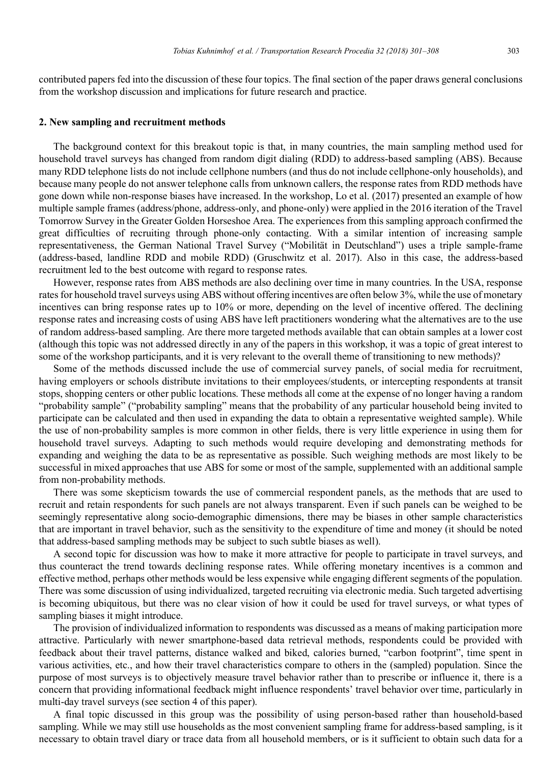contributed papers fed into the discussion of these four topics. The final section of the paper draws general conclusions from the workshop discussion and implications for future research and practice.

### **2. New sampling and recruitment methods**

The background context for this breakout topic is that, in many countries, the main sampling method used for household travel surveys has changed from random digit dialing (RDD) to address-based sampling (ABS). Because many RDD telephone lists do not include cellphone numbers (and thus do not include cellphone-only households), and because many people do not answer telephone calls from unknown callers, the response rates from RDD methods have gone down while non-response biases have increased. In the workshop, Lo et al. (2017) presented an example of how multiple sample frames (address/phone, address-only, and phone-only) were applied in the 2016 iteration of the Travel Tomorrow Survey in the Greater Golden Horseshoe Area. The experiences from this sampling approach confirmed the great difficulties of recruiting through phone-only contacting. With a similar intention of increasing sample representativeness, the German National Travel Survey ("Mobilität in Deutschland") uses a triple sample-frame (address-based, landline RDD and mobile RDD) (Gruschwitz et al. 2017). Also in this case, the address-based recruitment led to the best outcome with regard to response rates.

However, response rates from ABS methods are also declining over time in many countries. In the USA, response rates for household travel surveys using ABS without offering incentives are often below 3%, while the use of monetary incentives can bring response rates up to 10% or more, depending on the level of incentive offered. The declining response rates and increasing costs of using ABS have left practitioners wondering what the alternatives are to the use of random address-based sampling. Are there more targeted methods available that can obtain samples at a lower cost (although this topic was not addressed directly in any of the papers in this workshop, it was a topic of great interest to some of the workshop participants, and it is very relevant to the overall theme of transitioning to new methods)?

Some of the methods discussed include the use of commercial survey panels, of social media for recruitment, having employers or schools distribute invitations to their employees/students, or intercepting respondents at transit stops, shopping centers or other public locations. These methods all come at the expense of no longer having a random "probability sample" ("probability sampling" means that the probability of any particular household being invited to participate can be calculated and then used in expanding the data to obtain a representative weighted sample). While the use of non-probability samples is more common in other fields, there is very little experience in using them for household travel surveys. Adapting to such methods would require developing and demonstrating methods for expanding and weighing the data to be as representative as possible. Such weighing methods are most likely to be successful in mixed approaches that use ABS for some or most of the sample, supplemented with an additional sample from non-probability methods.

There was some skepticism towards the use of commercial respondent panels, as the methods that are used to recruit and retain respondents for such panels are not always transparent. Even if such panels can be weighed to be seemingly representative along socio-demographic dimensions, there may be biases in other sample characteristics that are important in travel behavior, such as the sensitivity to the expenditure of time and money (it should be noted that address-based sampling methods may be subject to such subtle biases as well).

A second topic for discussion was how to make it more attractive for people to participate in travel surveys, and thus counteract the trend towards declining response rates. While offering monetary incentives is a common and effective method, perhaps other methods would be less expensive while engaging different segments of the population. There was some discussion of using individualized, targeted recruiting via electronic media. Such targeted advertising is becoming ubiquitous, but there was no clear vision of how it could be used for travel surveys, or what types of sampling biases it might introduce.

The provision of individualized information to respondents was discussed as a means of making participation more attractive. Particularly with newer smartphone-based data retrieval methods, respondents could be provided with feedback about their travel patterns, distance walked and biked, calories burned, "carbon footprint", time spent in various activities, etc., and how their travel characteristics compare to others in the (sampled) population. Since the purpose of most surveys is to objectively measure travel behavior rather than to prescribe or influence it, there is a concern that providing informational feedback might influence respondents' travel behavior over time, particularly in multi-day travel surveys (see section 4 of this paper).

A final topic discussed in this group was the possibility of using person-based rather than household-based sampling. While we may still use households as the most convenient sampling frame for address-based sampling, is it necessary to obtain travel diary or trace data from all household members, or is it sufficient to obtain such data for a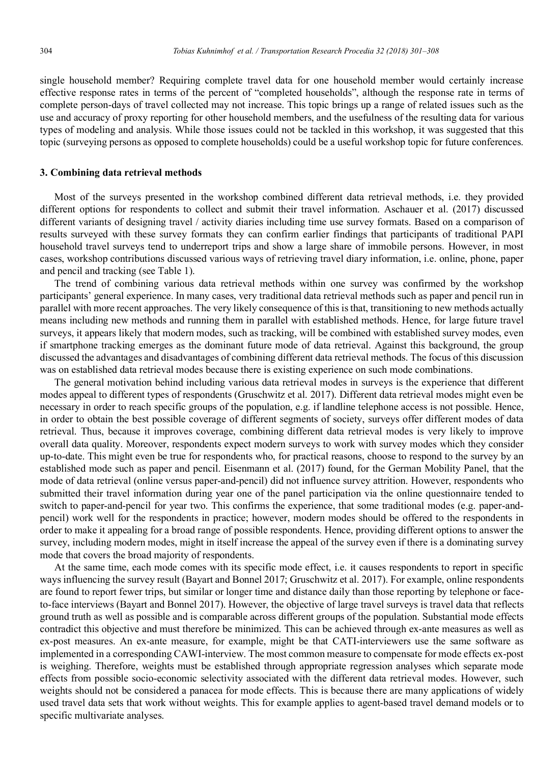single household member? Requiring complete travel data for one household member would certainly increase effective response rates in terms of the percent of "completed households", although the response rate in terms of complete person-days of travel collected may not increase. This topic brings up a range of related issues such as the use and accuracy of proxy reporting for other household members, and the usefulness of the resulting data for various types of modeling and analysis. While those issues could not be tackled in this workshop, it was suggested that this topic (surveying persons as opposed to complete households) could be a useful workshop topic for future conferences.

### **3. Combining data retrieval methods**

Most of the surveys presented in the workshop combined different data retrieval methods, i.e. they provided different options for respondents to collect and submit their travel information. Aschauer et al. (2017) discussed different variants of designing travel / activity diaries including time use survey formats. Based on a comparison of results surveyed with these survey formats they can confirm earlier findings that participants of traditional PAPI household travel surveys tend to underreport trips and show a large share of immobile persons. However, in most cases, workshop contributions discussed various ways of retrieving travel diary information, i.e. online, phone, paper and pencil and tracking (see Table 1).

The trend of combining various data retrieval methods within one survey was confirmed by the workshop participants' general experience. In many cases, very traditional data retrieval methods such as paper and pencil run in parallel with more recent approaches. The very likely consequence of this is that, transitioning to new methods actually means including new methods and running them in parallel with established methods. Hence, for large future travel surveys, it appears likely that modern modes, such as tracking, will be combined with established survey modes, even if smartphone tracking emerges as the dominant future mode of data retrieval. Against this background, the group discussed the advantages and disadvantages of combining different data retrieval methods. The focus of this discussion was on established data retrieval modes because there is existing experience on such mode combinations.

The general motivation behind including various data retrieval modes in surveys is the experience that different modes appeal to different types of respondents (Gruschwitz et al. 2017). Different data retrieval modes might even be necessary in order to reach specific groups of the population, e.g. if landline telephone access is not possible. Hence, in order to obtain the best possible coverage of different segments of society, surveys offer different modes of data retrieval. Thus, because it improves coverage, combining different data retrieval modes is very likely to improve overall data quality. Moreover, respondents expect modern surveys to work with survey modes which they consider up-to-date. This might even be true for respondents who, for practical reasons, choose to respond to the survey by an established mode such as paper and pencil. Eisenmann et al. (2017) found, for the German Mobility Panel, that the mode of data retrieval (online versus paper-and-pencil) did not influence survey attrition. However, respondents who submitted their travel information during year one of the panel participation via the online questionnaire tended to switch to paper-and-pencil for year two. This confirms the experience, that some traditional modes (e.g. paper-andpencil) work well for the respondents in practice; however, modern modes should be offered to the respondents in order to make it appealing for a broad range of possible respondents. Hence, providing different options to answer the survey, including modern modes, might in itself increase the appeal of the survey even if there is a dominating survey mode that covers the broad majority of respondents.

At the same time, each mode comes with its specific mode effect, i.e. it causes respondents to report in specific ways influencing the survey result (Bayart and Bonnel 2017; Gruschwitz et al. 2017). For example, online respondents are found to report fewer trips, but similar or longer time and distance daily than those reporting by telephone or faceto-face interviews (Bayart and Bonnel 2017). However, the objective of large travel surveys is travel data that reflects ground truth as well as possible and is comparable across different groups of the population. Substantial mode effects contradict this objective and must therefore be minimized. This can be achieved through ex-ante measures as well as ex-post measures. An ex-ante measure, for example, might be that CATI-interviewers use the same software as implemented in a corresponding CAWI-interview. The most common measure to compensate for mode effects ex-post is weighing. Therefore, weights must be established through appropriate regression analyses which separate mode effects from possible socio-economic selectivity associated with the different data retrieval modes. However, such weights should not be considered a panacea for mode effects. This is because there are many applications of widely used travel data sets that work without weights. This for example applies to agent-based travel demand models or to specific multivariate analyses.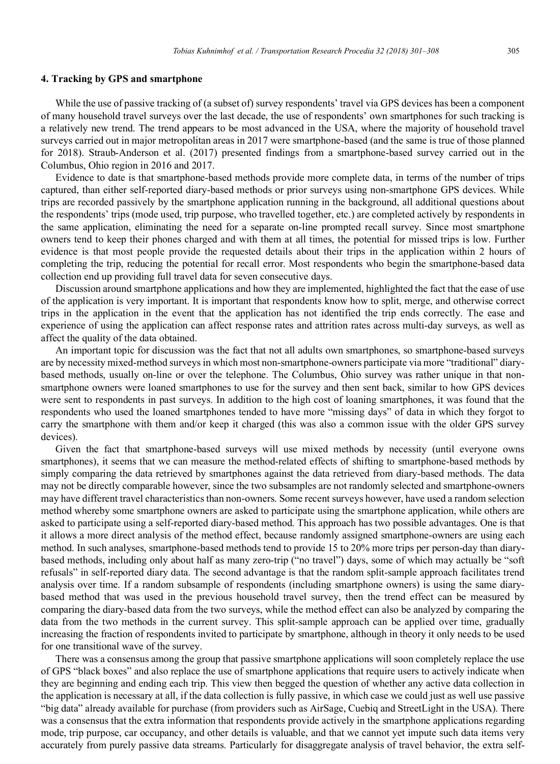# **4. Tracking by GPS and smartphone**

While the use of passive tracking of (a subset of) survey respondents' travel via GPS devices has been a component of many household travel surveys over the last decade, the use of respondents' own smartphones for such tracking is a relatively new trend. The trend appears to be most advanced in the USA, where the majority of household travel surveys carried out in major metropolitan areas in 2017 were smartphone-based (and the same is true of those planned for 2018). Straub-Anderson et al. (2017) presented findings from a smartphone-based survey carried out in the Columbus, Ohio region in 2016 and 2017.

Evidence to date is that smartphone-based methods provide more complete data, in terms of the number of trips captured, than either self-reported diary-based methods or prior surveys using non-smartphone GPS devices. While trips are recorded passively by the smartphone application running in the background, all additional questions about the respondents' trips (mode used, trip purpose, who travelled together, etc.) are completed actively by respondents in the same application, eliminating the need for a separate on-line prompted recall survey. Since most smartphone owners tend to keep their phones charged and with them at all times, the potential for missed trips is low. Further evidence is that most people provide the requested details about their trips in the application within 2 hours of completing the trip, reducing the potential for recall error. Most respondents who begin the smartphone-based data collection end up providing full travel data for seven consecutive days.

Discussion around smartphone applications and how they are implemented, highlighted the fact that the ease of use of the application is very important. It is important that respondents know how to split, merge, and otherwise correct trips in the application in the event that the application has not identified the trip ends correctly. The ease and experience of using the application can affect response rates and attrition rates across multi-day surveys, as well as affect the quality of the data obtained.

An important topic for discussion was the fact that not all adults own smartphones, so smartphone-based surveys are by necessity mixed-method surveys in which most non-smartphone-owners participate via more "traditional" diarybased methods, usually on-line or over the telephone. The Columbus, Ohio survey was rather unique in that nonsmartphone owners were loaned smartphones to use for the survey and then sent back, similar to how GPS devices were sent to respondents in past surveys. In addition to the high cost of loaning smartphones, it was found that the respondents who used the loaned smartphones tended to have more "missing days" of data in which they forgot to carry the smartphone with them and/or keep it charged (this was also a common issue with the older GPS survey devices).

Given the fact that smartphone-based surveys will use mixed methods by necessity (until everyone owns smartphones), it seems that we can measure the method-related effects of shifting to smartphone-based methods by simply comparing the data retrieved by smartphones against the data retrieved from diary-based methods. The data may not be directly comparable however, since the two subsamples are not randomly selected and smartphone-owners may have different travel characteristics than non-owners. Some recent surveys however, have used a random selection method whereby some smartphone owners are asked to participate using the smartphone application, while others are asked to participate using a self-reported diary-based method. This approach has two possible advantages. One is that it allows a more direct analysis of the method effect, because randomly assigned smartphone-owners are using each method. In such analyses, smartphone-based methods tend to provide 15 to 20% more trips per person-day than diarybased methods, including only about half as many zero-trip ("no travel") days, some of which may actually be "soft refusals" in self-reported diary data. The second advantage is that the random split-sample approach facilitates trend analysis over time. If a random subsample of respondents (including smartphone owners) is using the same diarybased method that was used in the previous household travel survey, then the trend effect can be measured by comparing the diary-based data from the two surveys, while the method effect can also be analyzed by comparing the data from the two methods in the current survey. This split-sample approach can be applied over time, gradually increasing the fraction of respondents invited to participate by smartphone, although in theory it only needs to be used for one transitional wave of the survey.

There was a consensus among the group that passive smartphone applications will soon completely replace the use of GPS "black boxes" and also replace the use of smartphone applications that require users to actively indicate when they are beginning and ending each trip. This view then begged the question of whether any active data collection in the application is necessary at all, if the data collection is fully passive, in which case we could just as well use passive "big data" already available for purchase (from providers such as AirSage, Cuebiq and StreetLight in the USA). There was a consensus that the extra information that respondents provide actively in the smartphone applications regarding mode, trip purpose, car occupancy, and other details is valuable, and that we cannot yet impute such data items very accurately from purely passive data streams. Particularly for disaggregate analysis of travel behavior, the extra self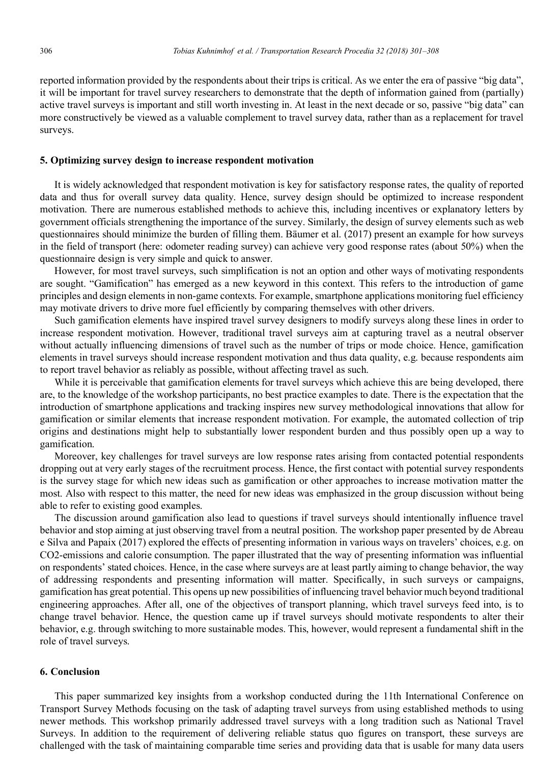reported information provided by the respondents about their trips is critical. As we enter the era of passive "big data", it will be important for travel survey researchers to demonstrate that the depth of information gained from (partially) active travel surveys is important and still worth investing in. At least in the next decade or so, passive "big data" can more constructively be viewed as a valuable complement to travel survey data, rather than as a replacement for travel surveys.

### **5. Optimizing survey design to increase respondent motivation**

It is widely acknowledged that respondent motivation is key for satisfactory response rates, the quality of reported data and thus for overall survey data quality. Hence, survey design should be optimized to increase respondent motivation. There are numerous established methods to achieve this, including incentives or explanatory letters by government officials strengthening the importance of the survey. Similarly, the design of survey elements such as web questionnaires should minimize the burden of filling them. Bäumer et al. (2017) present an example for how surveys in the field of transport (here: odometer reading survey) can achieve very good response rates (about 50%) when the questionnaire design is very simple and quick to answer.

However, for most travel surveys, such simplification is not an option and other ways of motivating respondents are sought. "Gamification" has emerged as a new keyword in this context. This refers to the introduction of game principles and design elements in non-game contexts. For example, smartphone applications monitoring fuel efficiency may motivate drivers to drive more fuel efficiently by comparing themselves with other drivers.

Such gamification elements have inspired travel survey designers to modify surveys along these lines in order to increase respondent motivation. However, traditional travel surveys aim at capturing travel as a neutral observer without actually influencing dimensions of travel such as the number of trips or mode choice. Hence, gamification elements in travel surveys should increase respondent motivation and thus data quality, e.g. because respondents aim to report travel behavior as reliably as possible, without affecting travel as such.

While it is perceivable that gamification elements for travel surveys which achieve this are being developed, there are, to the knowledge of the workshop participants, no best practice examples to date. There is the expectation that the introduction of smartphone applications and tracking inspires new survey methodological innovations that allow for gamification or similar elements that increase respondent motivation. For example, the automated collection of trip origins and destinations might help to substantially lower respondent burden and thus possibly open up a way to gamification.

Moreover, key challenges for travel surveys are low response rates arising from contacted potential respondents dropping out at very early stages of the recruitment process. Hence, the first contact with potential survey respondents is the survey stage for which new ideas such as gamification or other approaches to increase motivation matter the most. Also with respect to this matter, the need for new ideas was emphasized in the group discussion without being able to refer to existing good examples.

The discussion around gamification also lead to questions if travel surveys should intentionally influence travel behavior and stop aiming at just observing travel from a neutral position. The workshop paper presented by de Abreau e Silva and Papaix (2017) explored the effects of presenting information in various ways on travelers' choices, e.g. on CO2-emissions and calorie consumption. The paper illustrated that the way of presenting information was influential on respondents' stated choices. Hence, in the case where surveys are at least partly aiming to change behavior, the way of addressing respondents and presenting information will matter. Specifically, in such surveys or campaigns, gamification has great potential. This opens up new possibilities of influencing travel behavior much beyond traditional engineering approaches. After all, one of the objectives of transport planning, which travel surveys feed into, is to change travel behavior. Hence, the question came up if travel surveys should motivate respondents to alter their behavior, e.g. through switching to more sustainable modes. This, however, would represent a fundamental shift in the role of travel surveys.

# **6. Conclusion**

This paper summarized key insights from a workshop conducted during the 11th International Conference on Transport Survey Methods focusing on the task of adapting travel surveys from using established methods to using newer methods. This workshop primarily addressed travel surveys with a long tradition such as National Travel Surveys. In addition to the requirement of delivering reliable status quo figures on transport, these surveys are challenged with the task of maintaining comparable time series and providing data that is usable for many data users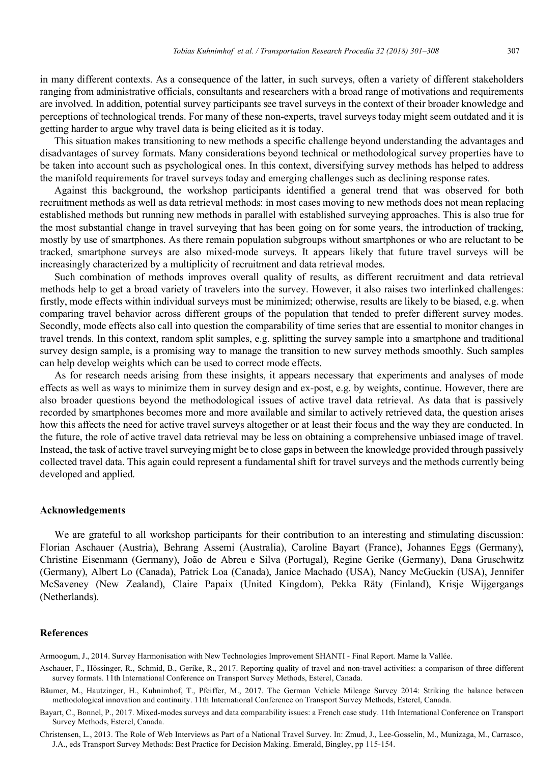in many different contexts. As a consequence of the latter, in such surveys, often a variety of different stakeholders ranging from administrative officials, consultants and researchers with a broad range of motivations and requirements are involved. In addition, potential survey participants see travel surveys in the context of their broader knowledge and perceptions of technological trends. For many of these non-experts, travel surveys today might seem outdated and it is getting harder to argue why travel data is being elicited as it is today.

This situation makes transitioning to new methods a specific challenge beyond understanding the advantages and disadvantages of survey formats. Many considerations beyond technical or methodological survey properties have to be taken into account such as psychological ones. In this context, diversifying survey methods has helped to address the manifold requirements for travel surveys today and emerging challenges such as declining response rates.

Against this background, the workshop participants identified a general trend that was observed for both recruitment methods as well as data retrieval methods: in most cases moving to new methods does not mean replacing established methods but running new methods in parallel with established surveying approaches. This is also true for the most substantial change in travel surveying that has been going on for some years, the introduction of tracking, mostly by use of smartphones. As there remain population subgroups without smartphones or who are reluctant to be tracked, smartphone surveys are also mixed-mode surveys. It appears likely that future travel surveys will be increasingly characterized by a multiplicity of recruitment and data retrieval modes.

Such combination of methods improves overall quality of results, as different recruitment and data retrieval methods help to get a broad variety of travelers into the survey. However, it also raises two interlinked challenges: firstly, mode effects within individual surveys must be minimized; otherwise, results are likely to be biased, e.g. when comparing travel behavior across different groups of the population that tended to prefer different survey modes. Secondly, mode effects also call into question the comparability of time series that are essential to monitor changes in travel trends. In this context, random split samples, e.g. splitting the survey sample into a smartphone and traditional survey design sample, is a promising way to manage the transition to new survey methods smoothly. Such samples can help develop weights which can be used to correct mode effects.

As for research needs arising from these insights, it appears necessary that experiments and analyses of mode effects as well as ways to minimize them in survey design and ex-post, e.g. by weights, continue. However, there are also broader questions beyond the methodological issues of active travel data retrieval. As data that is passively recorded by smartphones becomes more and more available and similar to actively retrieved data, the question arises how this affects the need for active travel surveys altogether or at least their focus and the way they are conducted. In the future, the role of active travel data retrieval may be less on obtaining a comprehensive unbiased image of travel. Instead, the task of active travel surveying might be to close gaps in between the knowledge provided through passively collected travel data. This again could represent a fundamental shift for travel surveys and the methods currently being developed and applied.

#### **Acknowledgements**

We are grateful to all workshop participants for their contribution to an interesting and stimulating discussion: Florian Aschauer (Austria), Behrang Assemi (Australia), Caroline Bayart (France), Johannes Eggs (Germany), Christine Eisenmann (Germany), João de Abreu e Silva (Portugal), Regine Gerike (Germany), Dana Gruschwitz (Germany), Albert Lo (Canada), Patrick Loa (Canada), Janice Machado (USA), Nancy McGuckin (USA), Jennifer McSaveney (New Zealand), Claire Papaix (United Kingdom), Pekka Räty (Finland), Krisje Wijgergangs (Netherlands).

### **References**

Armoogum, J., 2014. Survey Harmonisation with New Technologies Improvement SHANTI - Final Report. Marne la Vallée.

- Aschauer, F., Hössinger, R., Schmid, B., Gerike, R., 2017. Reporting quality of travel and non-travel activities: a comparison of three different survey formats. 11th International Conference on Transport Survey Methods, Esterel, Canada.
- Bäumer, M., Hautzinger, H., Kuhnimhof, T., Pfeiffer, M., 2017. The German Vehicle Mileage Survey 2014: Striking the balance between methodological innovation and continuity. 11th International Conference on Transport Survey Methods, Esterel, Canada.
- Bayart, C., Bonnel, P., 2017. Mixed-modes surveys and data comparability issues: a French case study. 11th International Conference on Transport Survey Methods, Esterel, Canada.
- Christensen, L., 2013. The Role of Web Interviews as Part of a National Travel Survey. In: Zmud, J., Lee-Gosselin, M., Munizaga, M., Carrasco, J.A., eds Transport Survey Methods: Best Practice for Decision Making. Emerald, Bingley, pp 115-154.